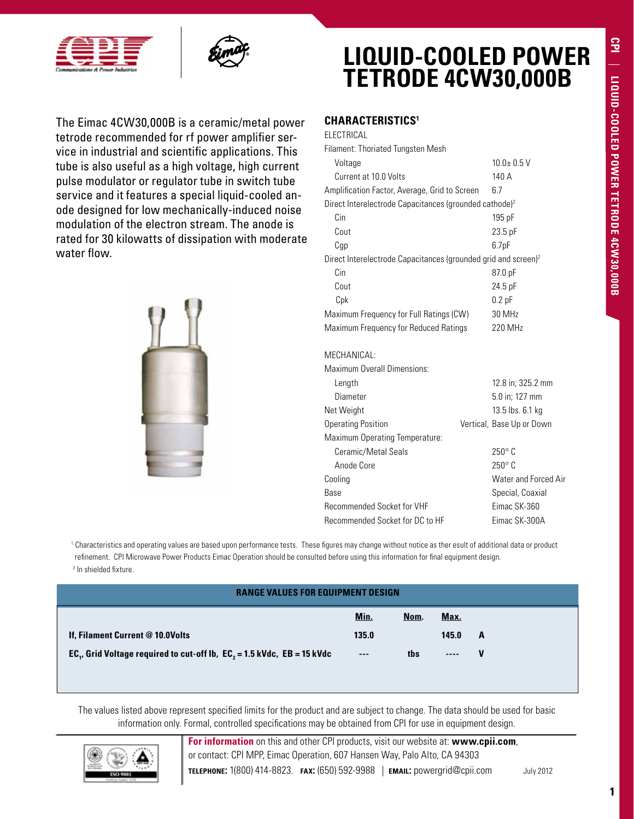



The Eimac 4CW30,000B is a ceramic/metal power tetrode recommended for rf power amplifier service in industrial and scientific applications. This tube is also useful as a high voltage, high current pulse modulator or regulator tube in switch tube service and it features a special liquid-cooled anode designed for low mechanically-induced noise modulation of the electron stream. The anode is rated for 30 kilowatts of dissipation with moderate water flow.



# **LIQUID-COOLED POWER TETRODE 4CW30,000B**

### **Characteristics1**

| ELECTRICAL                                                                 |                   |  |  |  |  |
|----------------------------------------------------------------------------|-------------------|--|--|--|--|
| Filament: Thoriated Tungsten Mesh                                          |                   |  |  |  |  |
| Voltage                                                                    | $10.0 + 0.5$ V    |  |  |  |  |
| Current at 10 0 Volts<br>140 A                                             |                   |  |  |  |  |
| Amplification Factor, Average, Grid to Screen                              | 67                |  |  |  |  |
| Direct Interelectrode Capacitances (grounded cathode) <sup>2</sup>         |                   |  |  |  |  |
| Cin                                                                        | $195$ pF          |  |  |  |  |
| Cout                                                                       | $23.5$ pF         |  |  |  |  |
| Cgp                                                                        | 6.7 <sub>pF</sub> |  |  |  |  |
| Direct Interelectrode Capacitances (grounded grid and screen) <sup>2</sup> |                   |  |  |  |  |
| Cin                                                                        | 87.0 pF           |  |  |  |  |
| Cout                                                                       | 24.5 pF           |  |  |  |  |
| Cpk                                                                        | $0.2$ pF          |  |  |  |  |
| Maximum Frequency for Full Ratings (CW)                                    | 30 MHz            |  |  |  |  |
| Maximum Frequency for Reduced Ratings                                      | 220 MHz           |  |  |  |  |
|                                                                            |                   |  |  |  |  |
|                                                                            |                   |  |  |  |  |

#### MECHANICAL:

Maximum Overall Dimensions: Length 12.8 in; 325.2 mm Diameter 5.0 in; 127 mm Net Weight 13.5 lbs. 6.1 kg Operating Position Vertical, Base Up or Down Maximum Operating Temperature: Ceramic/Metal Seals 250° C Anode Core 250° C Cooling Cooling Cooling Cooling Cooling Cooling Cooling Cooling Cooling Cooling Cooling Cooling Cooling Cooling Cooling Cooling Cooling Cooling Cooling Cooling Cooling Cooling Cooling Cooling Cooling Cooling Cooling Coolin Base Special, Coaxial Recommended Socket for VHF Eimac SK-360 Recommended Socket for DC to HF Eimac SK-300A

1 Characteristics and operating values are based upon performance tests. These figures may change without notice as ther esult of additional data or product refinement. CPI Microwave Power Products Eimac Operation should be consulted before using this information for final equipment design. 2 In shielded fixture.

| <b>RANGE VALUES FOR EQUIPMENT DESIGN</b>                                                        |       |      |           |   |
|-------------------------------------------------------------------------------------------------|-------|------|-----------|---|
|                                                                                                 | Min.  | Nom. | Max.      |   |
| If, Filament Current @ 10.0Volts                                                                | 135.0 |      | 145.0     | A |
| EC <sub>1</sub> , Grid Voltage required to cut-off lb, EC <sub>2</sub> = 1.5 kVdc, EB = 15 kVdc | $---$ | ths  | $- - - -$ | v |

The values listed above represent specified limits for the product and are subject to change. The data should be used for basic information only. Formal, controlled specifications may be obtained from CPI for use in equipment design.



**For information** on this and other CPI products, visit our website at: **www.cpii.com**, or contact: CPI MPP, Eimac Operation, 607 Hansen Way, Palo Alto, CA 94303 **telephone:** 1(800) 414-8823. **fax:** (650) 592-9988 | **email:** powergrid@cpii.com July 2012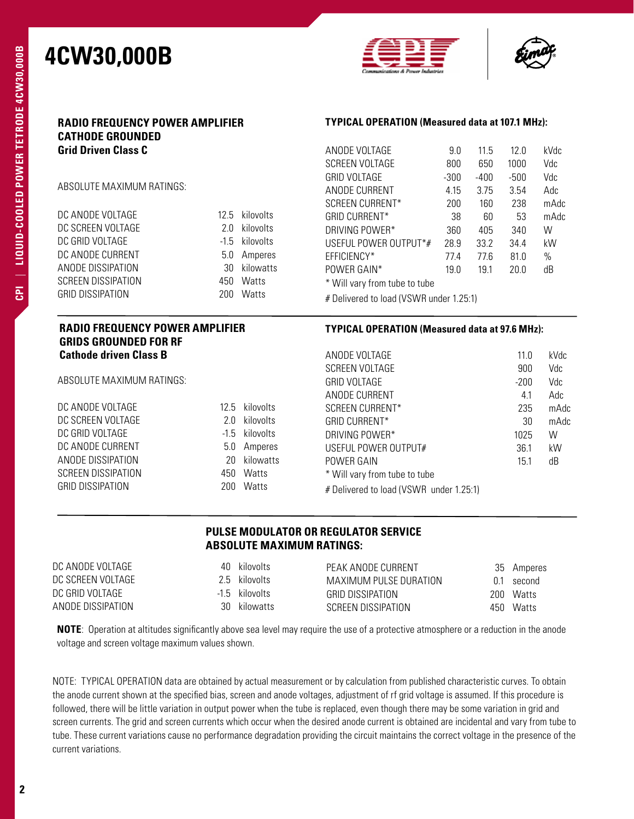



| <b>RADIO FREQUENCY POWER AMPLIFIER</b><br><b>CATHODE GROUNDED</b>                                                                                                               |        | <b>TYPICAL OPERATION (Measured data at 107.1 MHz):</b> |                                                                          |        |        |        |              |
|---------------------------------------------------------------------------------------------------------------------------------------------------------------------------------|--------|--------------------------------------------------------|--------------------------------------------------------------------------|--------|--------|--------|--------------|
| <b>Grid Driven Class C</b>                                                                                                                                                      |        |                                                        | ANODE VOLTAGE                                                            | 9.0    | 11.5   | 12.0   | kVdc         |
|                                                                                                                                                                                 |        |                                                        | SCREEN VOLTAGE                                                           | 800    | 650    | 1000   | Vdc          |
|                                                                                                                                                                                 |        |                                                        | <b>GRID VOLTAGE</b>                                                      | $-300$ | $-400$ | $-500$ | Vdc          |
| ABSOLUTE MAXIMUM RATINGS:                                                                                                                                                       |        | ANODE CURRENT                                          | 4.15                                                                     | 3.75   | 3.54   | Adc    |              |
|                                                                                                                                                                                 |        |                                                        | SCREEN CURRENT*                                                          | 200    | 160    | 238    | mAdc         |
| DC ANODE VOLTAGE                                                                                                                                                                |        | 12.5 kilovolts                                         | <b>GRID CURRENT*</b>                                                     | 38     | 60     | 53     | mAdc         |
| DC SCREEN VOLTAGE                                                                                                                                                               | 2.0    | kilovolts                                              | DRIVING POWER*                                                           | 360    | 405    | 340    | W            |
| DC GRID VOLTAGE                                                                                                                                                                 | $-1.5$ | kilovolts                                              | USEFUL POWER OUTPUT*#                                                    | 28.9   | 33.2   | 34.4   | kW           |
| DC ANODE CURRENT                                                                                                                                                                | 5.0    | Amperes                                                | EFFICIENCY*                                                              | 77.4   | 77.6   | 81.0   | $\%$         |
| ANODE DISSIPATION                                                                                                                                                               | 30     | kilowatts                                              | POWER GAIN*                                                              | 19.0   | 19.1   | 20.0   | dB           |
| SCREEN DISSIPATION                                                                                                                                                              | 450    | Watts                                                  | * Will vary from tube to tube                                            |        |        |        |              |
| <b>GRID DISSIPATION</b>                                                                                                                                                         |        | 200 Watts                                              | # Delivered to load (VSWR under 1.25:1)                                  |        |        |        |              |
|                                                                                                                                                                                 |        |                                                        |                                                                          |        |        |        |              |
| <b>RADIO FREQUENCY POWER AMPLIFIER</b>                                                                                                                                          |        |                                                        | <b>TYPICAL OPERATION (Measured data at 97.6 MHz):</b>                    |        |        |        |              |
| <b>GRIDS GROUNDED FOR RF</b>                                                                                                                                                    |        |                                                        |                                                                          |        |        |        |              |
| <b>Cathode driven Class B</b>                                                                                                                                                   |        |                                                        | ANODE VOLTAGE                                                            |        |        | 11.0   | kVdc         |
|                                                                                                                                                                                 |        |                                                        | SCREEN VOLTAGE                                                           |        |        | 900    | Vdc          |
|                                                                                                                                                                                 |        |                                                        | <b>GRID VOLTAGE</b>                                                      |        |        | $-200$ | Vdc          |
|                                                                                                                                                                                 |        |                                                        | ANODE CURRENT                                                            |        |        | 4.1    | Adc          |
|                                                                                                                                                                                 | 12.5   | kilovolts<br>kilovolts                                 | SCREEN CURRENT*                                                          |        |        | 235    |              |
|                                                                                                                                                                                 | 2.0    |                                                        | <b>GRID CURRENT*</b>                                                     |        |        | 30     |              |
|                                                                                                                                                                                 | $-1.5$ | kilovolts                                              | DRIVING POWER*                                                           |        |        | 1025   | W            |
|                                                                                                                                                                                 | 5.0    | Amperes                                                | USEFUL POWER OUTPUT#                                                     |        |        | 36.1   | kW           |
|                                                                                                                                                                                 | 20     | kilowatts                                              | POWER GAIN                                                               |        |        | 15.1   | dB           |
| ABSOLUTE MAXIMUM RATINGS:<br>DC ANODE VOLTAGE<br>DC SCREEN VOLTAGE<br>DC GRID VOLTAGE<br>DC ANODE CURRENT<br>ANODE DISSIPATION<br>SCREEN DISSIPATION<br><b>GRID DISSIPATION</b> | 450    | Watts<br>200 Watts                                     | * Will vary from tube to tube<br># Delivered to load (VSWR under 1.25:1) |        |        |        | mAdc<br>mAdc |

### **PULSE MODULATOR OR REGULATOR SERVICE ABSOLUTE MAXIMUM RATINGS:**

| DC ANODE VOLTAGE  | 40 kilovolts   | PEAK ANODE CURRENT     |       | 35 Amperes  |
|-------------------|----------------|------------------------|-------|-------------|
| DC SCREEN VOLTAGE | 2.5 kilovolts  | MAXIMUM PULSE DURATION |       | $01$ second |
| DC GRID VOLTAGE   | -1.5 kilovolts | GRID DISSIPATION       | 200 I | Watts       |
| ANODE DISSIPATION | 30 kilowatts   | SCREEN DISSIPATION     |       | 450 Watts   |

**NOTE**: Operation at altitudes significantly above sea level may require the use of a protective atmosphere or a reduction in the anode voltage and screen voltage maximum values shown.

NOTE: TYPICAL OPERATION data are obtained by actual measurement or by calculation from published characteristic curves. To obtain the anode current shown at the specified bias, screen and anode voltages, adjustment of rf grid voltage is assumed. If this procedure is followed, there will be little variation in output power when the tube is replaced, even though there may be some variation in grid and screen currents. The grid and screen currents which occur when the desired anode current is obtained are incidental and vary from tube to tube. These current variations cause no performance degradation providing the circuit maintains the correct voltage in the presence of the current variations.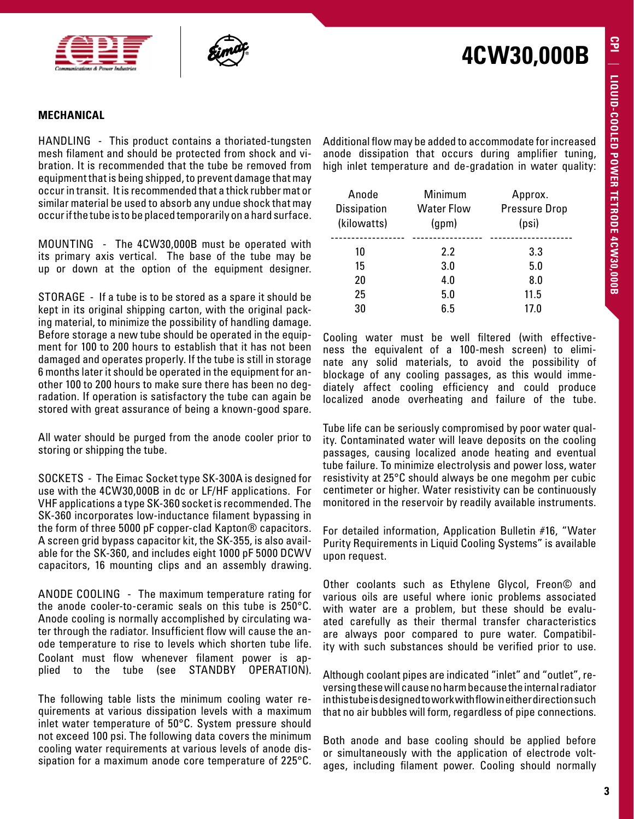



### **MECHANICAL**

HANDLING - This product contains a thoriated-tungsten mesh filament and should be protected from shock and vibration. It is recommended that the tube be removed from equipment that is being shipped, to prevent damage that may occur in transit. It is recommended that a thick rubber mat or similar material be used to absorb any undue shock that may occur if the tube is to be placed temporarily on a hard surface.

MOUNTING - The 4CW30,000B must be operated with its primary axis vertical. The base of the tube may be up or down at the option of the equipment designer.

STORAGE - If a tube is to be stored as a spare it should be kept in its original shipping carton, with the original packing material, to minimize the possibility of handling damage. Before storage a new tube should be operated in the equipment for 100 to 200 hours to establish that it has not been damaged and operates properly. If the tube is still in storage 6 months later it should be operated in the equipment for another 100 to 200 hours to make sure there has been no degradation. If operation is satisfactory the tube can again be stored with great assurance of being a known-good spare.

All water should be purged from the anode cooler prior to storing or shipping the tube.

SOCKETS - The Eimac Socket type SK-300A is designed for use with the 4CW30,000B in dc or LF/HF applications. For VHF applications a type SK-360 socket is recommended. The SK-360 incorporates low-inductance filament bypassing in the form of three 5000 pF copper-clad Kapton® capacitors. A screen grid bypass capacitor kit, the SK-355, is also available for the SK-360, and includes eight 1000 pF 5000 DCWV capacitors, 16 mounting clips and an assembly drawing.

ANODE COOLING - The maximum temperature rating for the anode cooler-to-ceramic seals on this tube is 250°C. Anode cooling is normally accomplished by circulating water through the radiator. Insufficient flow will cause the anode temperature to rise to levels which shorten tube life. Coolant must flow whenever filament power is applied to the tube (see STANDBY OPERATION).

The following table lists the minimum cooling water requirements at various dissipation levels with a maximum inlet water temperature of 50°C. System pressure should not exceed 100 psi. The following data covers the minimum cooling water requirements at various levels of anode dissipation for a maximum anode core temperature of 225°C.

Additional flow may be added to accommodate for increased anode dissipation that occurs during amplifier tuning, high inlet temperature and de-gradation in water quality:

**4CW30,000B**

| Anode<br><b>Dissipation</b><br>(kilowatts) | Minimum<br><b>Water Flow</b><br>(gpm) | Approx.<br><b>Pressure Drop</b><br>(psi) |
|--------------------------------------------|---------------------------------------|------------------------------------------|
| 10                                         | 2.2                                   | 3.3                                      |
| 15                                         | 3.0                                   | 5.0                                      |
| 20                                         | 4.0                                   | 8.0                                      |
| 25                                         | 5.0                                   | 11.5                                     |
| 30                                         | 6 5                                   | 17.0                                     |

Cooling water must be well filtered (with effectiveness the equivalent of a 100-mesh screen) to eliminate any solid materials, to avoid the possibility of blockage of any cooling passages, as this would immediately affect cooling efficiency and could produce localized anode overheating and failure of the tube.

Tube life can be seriously compromised by poor water quality. Contaminated water will leave deposits on the cooling passages, causing localized anode heating and eventual tube failure. To minimize electrolysis and power loss, water resistivity at 25°C should always be one megohm per cubic centimeter or higher. Water resistivity can be continuously monitored in the reservoir by readily available instruments.

For detailed information, Application Bulletin #16, "Water Purity Requirements in Liquid Cooling Systems" is available upon request.

Other coolants such as Ethylene Glycol, Freon© and various oils are useful where ionic problems associated with water are a problem, but these should be evaluated carefully as their thermal transfer characteristics are always poor compared to pure water. Compatibility with such substances should be verified prior to use.

Although coolant pipes are indicated "inlet" and "outlet", reversing these will cause no harm because the internal radiator in this tube is designed to work with flow in either direction such that no air bubbles will form, regardless of pipe connections.

Both anode and base cooling should be applied before or simultaneously with the application of electrode voltages, including filament power. Cooling should normally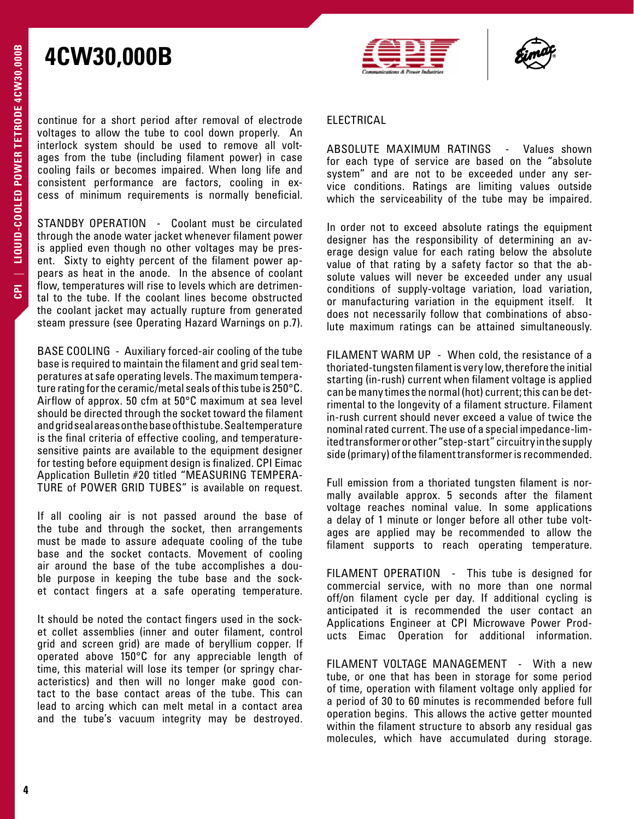



continue for a short period after removal of electrode voltages to allow the tube to cool down properly. An interlock system should be used to remove all voltages from the tube (including filament power) in case cooling fails or becomes impaired. When long life and consistent performance are factors, cooling in excess of minimum requirements is normally beneficial.

STANDBY OPERATION - Coolant must be circulated through the anode water jacket whenever filament power is applied even though no other voltages may be present. Sixty to eighty percent of the filament power appears as heat in the anode. In the absence of coolant flow, temperatures will rise to levels which are detrimental to the tube. If the coolant lines become obstructed the coolant jacket may actually rupture from generated steam pressure (see Operating Hazard Warnings on p.7).

BASE COOLING - Auxiliary forced-air cooling of the tube base is required to maintain the filament and grid seal temperatures at safe operating levels. The maximum temperature rating for the ceramic/metal seals of this tube is 250°C. Airflow of approx. 50 cfm at 50°C maximum at sea level should be directed through the socket toward the filament and grid seal areas on the base of this tube. Seal temperature is the final criteria of effective cooling, and temperaturesensitive paints are available to the equipment designer for testing before equipment design is finalized. CPI Eimac Application Bulletin #20 titled "MEASURING TEMPERA-TURE of POWER GRID TUBES" is available on request.

If all cooling air is not passed around the base of the tube and through the socket, then arrangements must be made to assure adequate cooling of the tube base and the socket contacts. Movement of cooling air around the base of the tube accomplishes a double purpose in keeping the tube base and the socket contact fingers at a safe operating temperature.

It should be noted the contact fingers used in the socket collet assemblies (inner and outer filament, control grid and screen grid) are made of beryllium copper. If operated above 150°C for any appreciable length of time, this material will lose its temper (or springy characteristics) and then will no longer make good contact to the base contact areas of the tube. This can lead to arcing which can melt metal in a contact area and the tube's vacuum integrity may be destroyed.

### ELECTRICAL

ABSOLUTE MAXIMUM RATINGS - Values shown for each type of service are based on the "absolute system" and are not to be exceeded under any service conditions. Ratings are limiting values outside which the serviceability of the tube may be impaired.

In order not to exceed absolute ratings the equipment designer has the responsibility of determining an average design value for each rating below the absolute value of that rating by a safety factor so that the absolute values will never be exceeded under any usual conditions of supply-voltage variation, load variation, or manufacturing variation in the equipment itself. It does not necessarily follow that combinations of absolute maximum ratings can be attained simultaneously.

FILAMENT WARM UP - When cold, the resistance of a thoriated-tungsten filament is very low, therefore the initial starting (in-rush) current when filament voltage is applied can be many times the normal (hot) current; this can be detrimental to the longevity of a filament structure. Filament in-rush current should never exceed a value of twice the nominal rated current. The use of a special impedance-limited transformer or other "step-start" circuitry in the supply side (primary) of the filament transformer is recommended.

Full emission from a thoriated tungsten filament is normally available approx. 5 seconds after the filament voltage reaches nominal value. In some applications a delay of 1 minute or longer before all other tube voltages are applied may be recommended to allow the filament supports to reach operating temperature.

FILAMENT OPERATION - This tube is designed for commercial service, with no more than one normal off/on filament cycle per day. If additional cycling is anticipated it is recommended the user contact an Applications Engineer at CPI Microwave Power Products Eimac Operation for additional information.

FILAMENT VOLTAGE MANAGEMENT - With a new tube, or one that has been in storage for some period of time, operation with filament voltage only applied for a period of 30 to 60 minutes is recommended before full operation begins. This allows the active getter mounted within the filament structure to absorb any residual gas molecules, which have accumulated during storage.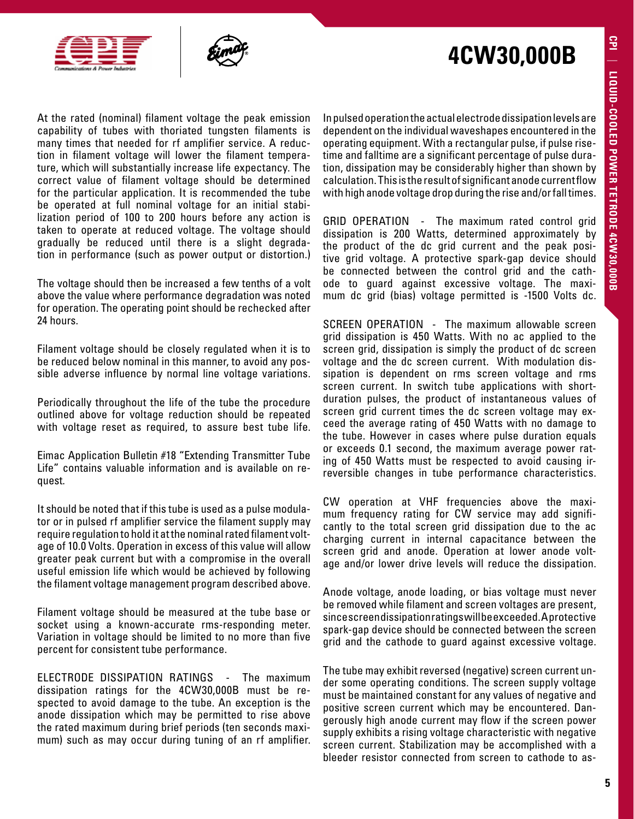



At the rated (nominal) filament voltage the peak emission capability of tubes with thoriated tungsten filaments is many times that needed for rf amplifier service. A reduction in filament voltage will lower the filament temperature, which will substantially increase life expectancy. The correct value of filament voltage should be determined for the particular application. It is recommended the tube be operated at full nominal voltage for an initial stabilization period of 100 to 200 hours before any action is taken to operate at reduced voltage. The voltage should gradually be reduced until there is a slight degradation in performance (such as power output or distortion.)

The voltage should then be increased a few tenths of a volt above the value where performance degradation was noted for operation. The operating point should be rechecked after 24 hours.

Filament voltage should be closely regulated when it is to be reduced below nominal in this manner, to avoid any possible adverse influence by normal line voltage variations.

Periodically throughout the life of the tube the procedure outlined above for voltage reduction should be repeated with voltage reset as required, to assure best tube life.

Eimac Application Bulletin #18 "Extending Transmitter Tube Life" contains valuable information and is available on request.

It should be noted that if this tube is used as a pulse modulator or in pulsed rf amplifier service the filament supply may require regulation to hold it at the nominal rated filament voltage of 10.0 Volts. Operation in excess of this value will allow greater peak current but with a compromise in the overall useful emission life which would be achieved by following the filament voltage management program described above.

Filament voltage should be measured at the tube base or socket using a known-accurate rms-responding meter. Variation in voltage should be limited to no more than five percent for consistent tube performance.

ELECTRODE DISSIPATION RATINGS - The maximum dissipation ratings for the 4CW30,000B must be respected to avoid damage to the tube. An exception is the anode dissipation which may be permitted to rise above the rated maximum during brief periods (ten seconds maximum) such as may occur during tuning of an rf amplifier.

In pulsed operation the actual electrode dissipation levels are dependent on the individual waveshapes encountered in the operating equipment. With a rectangular pulse, if pulse risetime and falltime are a significant percentage of pulse duration, dissipation may be considerably higher than shown by calculation. This is the result of significant anode current flow with high anode voltage drop during the rise and/or fall times.

GRID OPERATION - The maximum rated control grid dissipation is 200 Watts, determined approximately by the product of the dc grid current and the peak positive grid voltage. A protective spark-gap device should be connected between the control grid and the cathode to guard against excessive voltage. The maximum dc grid (bias) voltage permitted is -1500 Volts dc.

SCREEN OPERATION - The maximum allowable screen grid dissipation is 450 Watts. With no ac applied to the screen grid, dissipation is simply the product of dc screen voltage and the dc screen current. With modulation dissipation is dependent on rms screen voltage and rms screen current. In switch tube applications with shortduration pulses, the product of instantaneous values of screen grid current times the dc screen voltage may exceed the average rating of 450 Watts with no damage to the tube. However in cases where pulse duration equals or exceeds 0.1 second, the maximum average power rating of 450 Watts must be respected to avoid causing irreversible changes in tube performance characteristics.

CW operation at VHF frequencies above the maximum frequency rating for CW service may add significantly to the total screen grid dissipation due to the ac charging current in internal capacitance between the screen grid and anode. Operation at lower anode voltage and/or lower drive levels will reduce the dissipation.

Anode voltage, anode loading, or bias voltage must never be removed while filament and screen voltages are present, since screen dissipation ratings will be exceeded. A protective spark-gap device should be connected between the screen grid and the cathode to guard against excessive voltage.

The tube may exhibit reversed (negative) screen current under some operating conditions. The screen supply voltage must be maintained constant for any values of negative and positive screen current which may be encountered. Dangerously high anode current may flow if the screen power supply exhibits a rising voltage characteristic with negative screen current. Stabilization may be accomplished with a bleeder resistor connected from screen to cathode to as-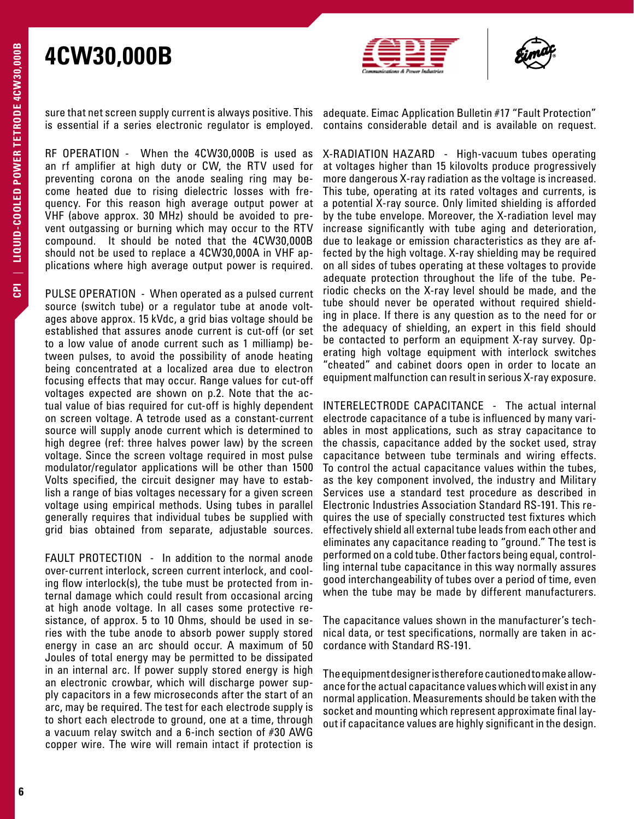



sure that net screen supply current is always positive. This is essential if a series electronic regulator is employed.

RF OPERATION - When the 4CW30,000B is used as an rf amplifier at high duty or CW, the RTV used for preventing corona on the anode sealing ring may become heated due to rising dielectric losses with frequency. For this reason high average output power at VHF (above approx. 30 MHz) should be avoided to prevent outgassing or burning which may occur to the RTV compound. It should be noted that the 4CW30,000B should not be used to replace a 4CW30,000A in VHF applications where high average output power is required.

PULSE OPERATION - When operated as a pulsed current source (switch tube) or a regulator tube at anode voltages above approx. 15 kVdc, a grid bias voltage should be established that assures anode current is cut-off (or set to a low value of anode current such as 1 milliamp) between pulses, to avoid the possibility of anode heating being concentrated at a localized area due to electron focusing effects that may occur. Range values for cut-off voltages expected are shown on p.2. Note that the actual value of bias required for cut-off is highly dependent on screen voltage. A tetrode used as a constant-current source will supply anode current which is determined to high degree (ref: three halves power law) by the screen voltage. Since the screen voltage required in most pulse modulator/regulator applications will be other than 1500 Volts specified, the circuit designer may have to establish a range of bias voltages necessary for a given screen voltage using empirical methods. Using tubes in parallel generally requires that individual tubes be supplied with grid bias obtained from separate, adjustable sources.

FAULT PROTECTION - In addition to the normal anode over-current interlock, screen current interlock, and cooling flow interlock(s), the tube must be protected from internal damage which could result from occasional arcing at high anode voltage. In all cases some protective resistance, of approx. 5 to 10 Ohms, should be used in series with the tube anode to absorb power supply stored energy in case an arc should occur. A maximum of 50 Joules of total energy may be permitted to be dissipated in an internal arc. If power supply stored energy is high an electronic crowbar, which will discharge power supply capacitors in a few microseconds after the start of an arc, may be required. The test for each electrode supply is to short each electrode to ground, one at a time, through a vacuum relay switch and a 6-inch section of #30 AWG copper wire. The wire will remain intact if protection is adequate. Eimac Application Bulletin #17 "Fault Protection" contains considerable detail and is available on request.

X-RADIATION HAZARD - High-vacuum tubes operating at voltages higher than 15 kilovolts produce progressively more dangerous X-ray radiation as the voltage is increased. This tube, operating at its rated voltages and currents, is a potential X-ray source. Only limited shielding is afforded by the tube envelope. Moreover, the X-radiation level may increase significantly with tube aging and deterioration, due to leakage or emission characteristics as they are affected by the high voltage. X-ray shielding may be required on all sides of tubes operating at these voltages to provide adequate protection throughout the life of the tube. Periodic checks on the X-ray level should be made, and the tube should never be operated without required shielding in place. If there is any question as to the need for or the adequacy of shielding, an expert in this field should be contacted to perform an equipment X-ray survey. Operating high voltage equipment with interlock switches "cheated" and cabinet doors open in order to locate an equipment malfunction can result in serious X-ray exposure.

INTERELECTRODE CAPACITANCE - The actual internal electrode capacitance of a tube is influenced by many variables in most applications, such as stray capacitance to the chassis, capacitance added by the socket used, stray capacitance between tube terminals and wiring effects. To control the actual capacitance values within the tubes, as the key component involved, the industry and Military Services use a standard test procedure as described in Electronic Industries Association Standard RS-191. This requires the use of specially constructed test fixtures which effectively shield all external tube leads from each other and eliminates any capacitance reading to "ground." The test is performed on a cold tube. Other factors being equal, controlling internal tube capacitance in this way normally assures good interchangeability of tubes over a period of time, even when the tube may be made by different manufacturers.

The capacitance values shown in the manufacturer's technical data, or test specifications, normally are taken in accordance with Standard RS-191.

The equipment designer is therefore cautioned to make allowance for the actual capacitance values which will exist in any normal application. Measurements should be taken with the socket and mounting which represent approximate final layout if capacitance values are highly significant in the design.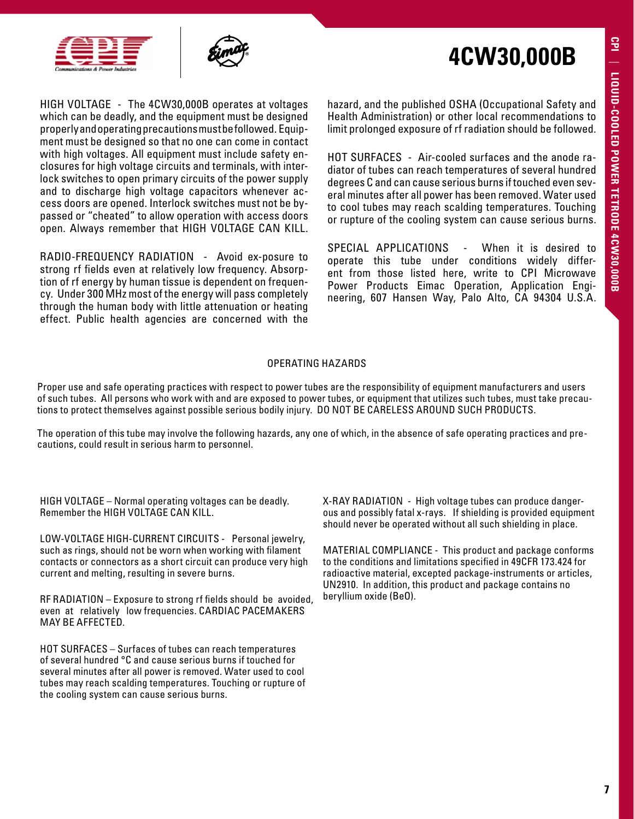



HIGH VOLTAGE - The 4CW30,000B operates at voltages which can be deadly, and the equipment must be designed properly and operating precautions must be followed. Equipment must be designed so that no one can come in contact with high voltages. All equipment must include safety enclosures for high voltage circuits and terminals, with interlock switches to open primary circuits of the power supply and to discharge high voltage capacitors whenever access doors are opened. Interlock switches must not be bypassed or "cheated" to allow operation with access doors open. Always remember that HIGH VOLTAGE CAN KILL.

RADIO-FREQUENCY RADIATION - Avoid ex-posure to strong rf fields even at relatively low frequency. Absorption of rf energy by human tissue is dependent on frequency. Under 300 MHz most of the energy will pass completely through the human body with little attenuation or heating effect. Public health agencies are concerned with the hazard, and the published OSHA (Occupational Safety and Health Administration) or other local recommendations to limit prolonged exposure of rf radiation should be followed.

HOT SURFACES - Air-cooled surfaces and the anode radiator of tubes can reach temperatures of several hundred degrees C and can cause serious burns if touched even several minutes after all power has been removed. Water used to cool tubes may reach scalding temperatures. Touching or rupture of the cooling system can cause serious burns.

SPECIAL APPLICATIONS - When it is desired to operate this tube under conditions widely different from those listed here, write to CPI Microwave Power Products Eimac Operation, Application Engineering, 607 Hansen Way, Palo Alto, CA 94304 U.S.A.

#### OPERATING HAZARDS

Proper use and safe operating practices with respect to power tubes are the responsibility of equipment manufacturers and users of such tubes. All persons who work with and are exposed to power tubes, or equipment that utilizes such tubes, must take precautions to protect themselves against possible serious bodily injury. DO NOT BE CARELESS AROUND SUCH PRODUCTS.

The operation of this tube may involve the following hazards, any one of which, in the absence of safe operating practices and precautions, could result in serious harm to personnel.

HIGH VOLTAGE – Normal operating voltages can be deadly. Remember the HIGH VOLTAGE CAN KILL.

LOW-VOLTAGE HIGH-CURRENT CIRCUITS - Personal jewelry, such as rings, should not be worn when working with filament contacts or connectors as a short circuit can produce very high current and melting, resulting in severe burns.

RF RADIATION – Exposure to strong rf fields should be avoided, even at relatively low frequencies. CARDIAC PACEMAKERS MAY BE AFFECTED.

HOT SURFACES – Surfaces of tubes can reach temperatures of several hundred °C and cause serious burns if touched for several minutes after all power is removed. Water used to cool tubes may reach scalding temperatures. Touching or rupture of the cooling system can cause serious burns.

X-RAY RADIATION - High voltage tubes can produce dangerous and possibly fatal x-rays. If shielding is provided equipment should never be operated without all such shielding in place.

MATERIAL COMPLIANCE - This product and package conforms to the conditions and limitations specified in 49CFR 173.424 for radioactive material, excepted package-instruments or articles, UN2910. In addition, this product and package contains no beryllium oxide (BeO).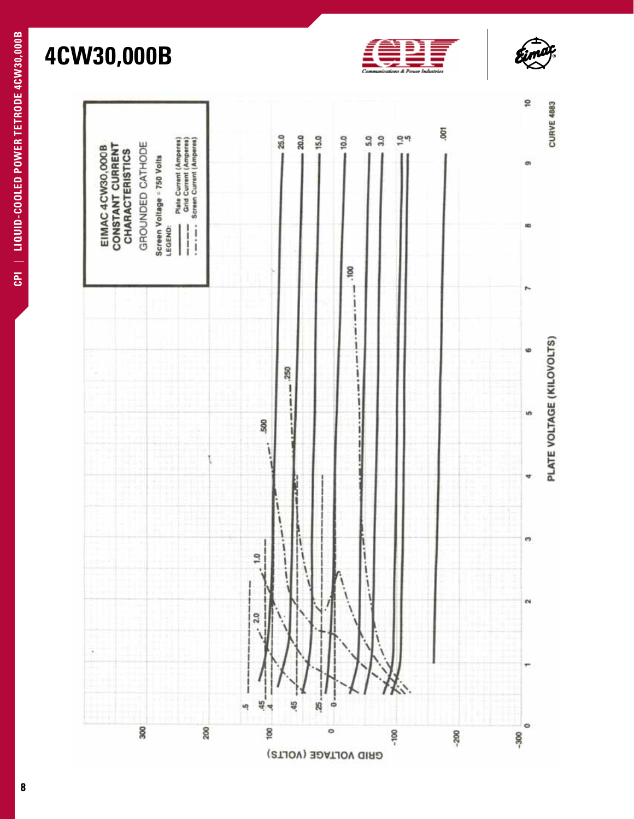



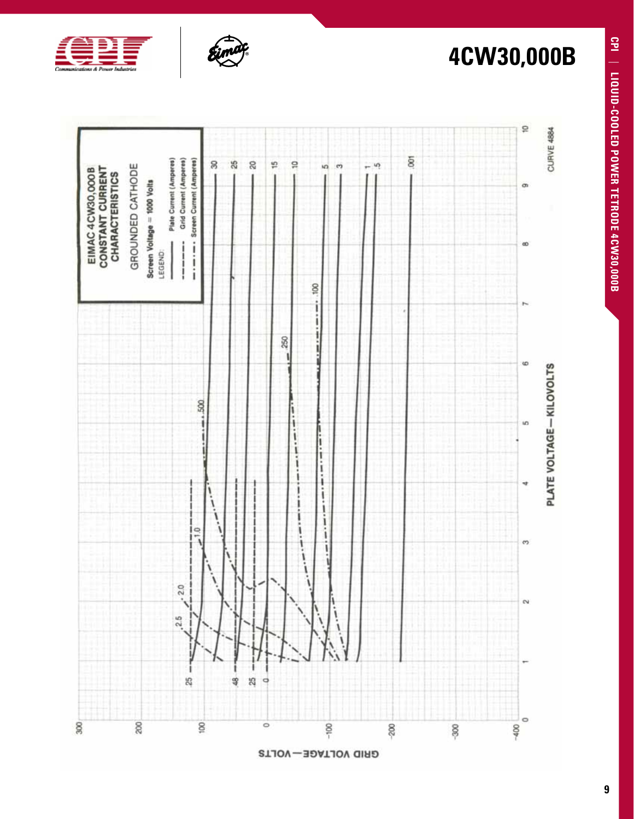



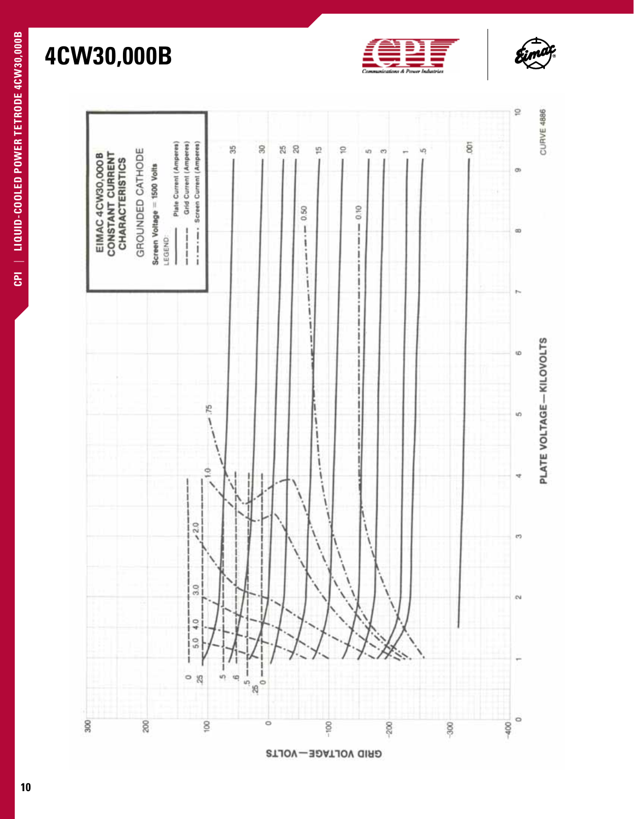